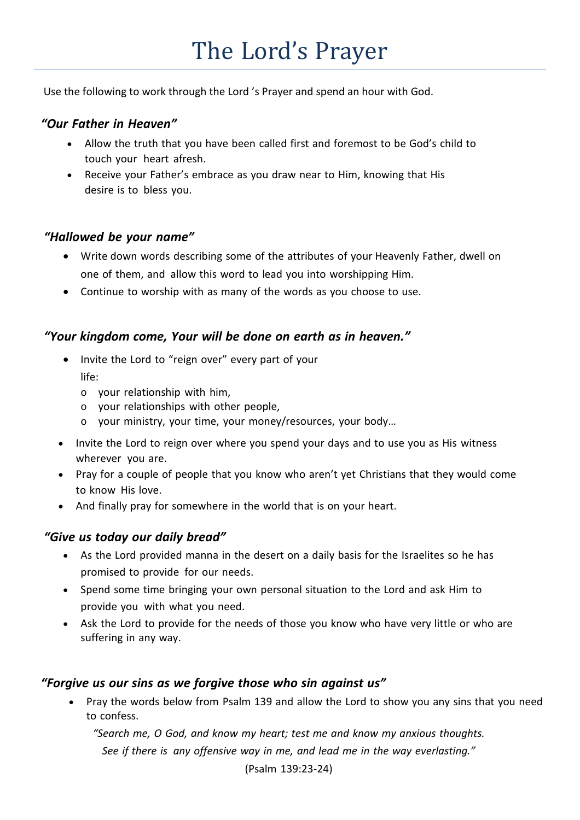Use the following to work through the Lord 's Prayer and spend an hour with God.

### *"Our Father in Heaven"*

- Allow the truth that you have been called first and foremost to be God's child to touch your heart afresh.
- Receive your Father's embrace as you draw near to Him, knowing that His desire is to bless you.

### *"Hallowed be your name"*

- Write down words describing some of the attributes of your Heavenly Father, dwell on one of them, and allow this word to lead you into worshipping Him.
- Continue to worship with as many of the words as you choose to use.

# *"Your kingdom come, Your will be done on earth as in heaven."*

- Invite the Lord to "reign over" every part of your life:
	- o your relationship with him,
	- o your relationships with other people,
	- o your ministry, your time, your money/resources, your body…
- Invite the Lord to reign over where you spend your days and to use you as His witness wherever you are.
- Pray for a couple of people that you know who aren't yet Christians that they would come to know His love.
- And finally pray for somewhere in the world that is on your heart.

### *"Give us today our daily bread"*

- As the Lord provided manna in the desert on a daily basis for the Israelites so he has promised to provide for our needs.
- Spend some time bringing your own personal situation to the Lord and ask Him to provide you with what you need.
- Ask the Lord to provide for the needs of those you know who have very little or who are suffering in any way.

# *"Forgive us our sins as we forgive those who sin against us"*

• Pray the words below from Psalm 139 and allow the Lord to show you any sins that you need to confess.

*"Search me, O God, and know my heart; test me and know my anxious thoughts. See if there is any offensive way in me, and lead me in the way everlasting."* 

(Psalm 139:23-24)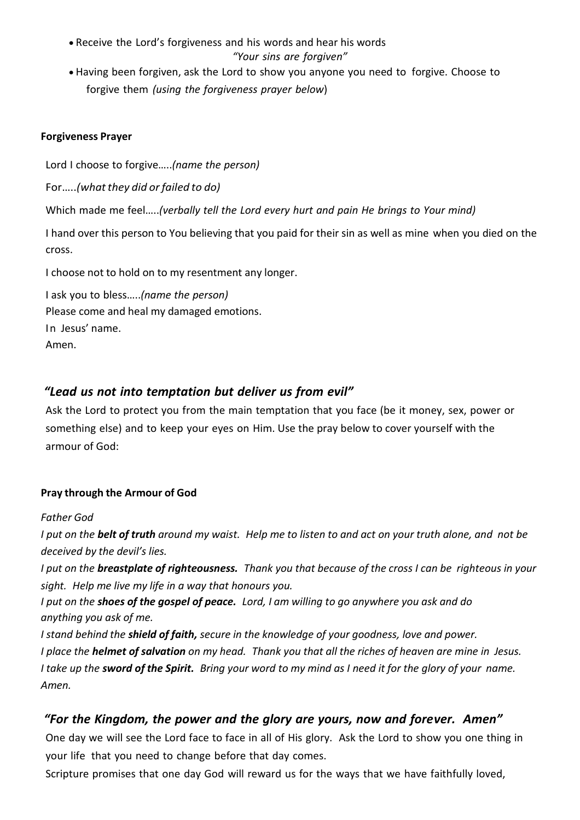- Receive the Lord's forgiveness and his words and hear his words *"Your sins are forgiven"*
- Having been forgiven, ask the Lord to show you anyone you need to forgive. Choose to forgive them *(using the forgiveness prayer below*)

#### **Forgiveness Prayer**

Lord I choose to forgive…..*(name the person)*

For…..*(whatthey did or failed to do)*

Which made me feel…..*(verbally tell the Lord every hurt and pain He brings to Your mind)*

I hand over this person to You believing that you paid for their sin as well as mine when you died on the cross.

I choose not to hold on to my resentment any longer.

I ask you to bless…..*(name the person)* Please come and heal my damaged emotions. In Jesus' name. Amen.

# *"Lead us not into temptation but deliver us from evil"*

Ask the Lord to protect you from the main temptation that you face (be it money, sex, power or something else) and to keep your eyes on Him. Use the pray below to cover yourself with the armour of God:

### **Pray through the Armour of God**

### *Father God*

I put on the **belt of truth** around my waist. Help me to listen to and act on your truth alone, and not be *deceived by the devil's lies.*

I put on the **breastplate of righteousness.** Thank you that because of the cross I can be righteous in your *sight. Help me live my life in a way that honours you.*

*I put on the shoes of the gospel of peace. Lord, I am willing to go anywhere you ask and do anything you ask of me.*

*I stand behind the shield of faith, secure in the knowledge of your goodness, love and power.* I place the **helmet of salvation** on my head. Thank you that all the riches of heaven are mine in Jesus. I take up the sword of the Spirit. Bring your word to my mind as I need it for the glory of your name. *Amen.*

# *"For the Kingdom, the power and the glory are yours, now and forever. Amen"*

One day we will see the Lord face to face in all of His glory. Ask the Lord to show you one thing in your life that you need to change before that day comes.

Scripture promises that one day God will reward us for the ways that we have faithfully loved,